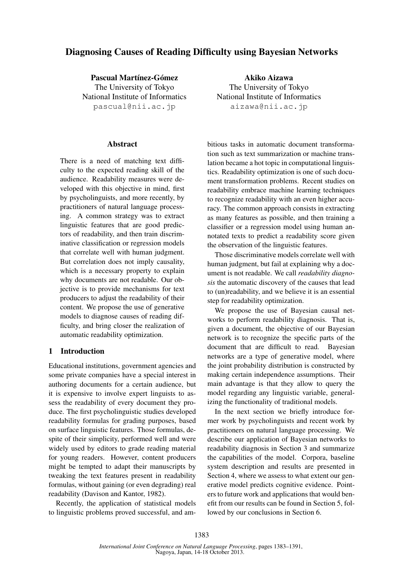# Diagnosing Causes of Reading Difficulty using Bayesian Networks

Pascual Martínez-Gómez

The University of Tokyo National Institute of Informatics pascual@nii.ac.jp

## Abstract

There is a need of matching text difficulty to the expected reading skill of the audience. Readability measures were developed with this objective in mind, first by psycholinguists, and more recently, by practitioners of natural language processing. A common strategy was to extract linguistic features that are good predictors of readability, and then train discriminative classification or regression models that correlate well with human judgment. But correlation does not imply causality, which is a necessary property to explain why documents are not readable. Our objective is to provide mechanisms for text producers to adjust the readability of their content. We propose the use of generative models to diagnose causes of reading difficulty, and bring closer the realization of automatic readability optimization.

# 1 Introduction

Educational institutions, government agencies and some private companies have a special interest in authoring documents for a certain audience, but it is expensive to involve expert linguists to assess the readability of every document they produce. The first psycholinguistic studies developed readability formulas for grading purposes, based on surface linguistic features. Those formulas, despite of their simplicity, performed well and were widely used by editors to grade reading material for young readers. However, content producers might be tempted to adapt their manuscripts by tweaking the text features present in readability formulas, without gaining (or even degrading) real readability (Davison and Kantor, 1982).

Recently, the application of statistical models to linguistic problems proved successful, and am-

Akiko Aizawa The University of Tokyo National Institute of Informatics aizawa@nii.ac.jp

bitious tasks in automatic document transformation such as text summarization or machine translation became a hot topic in computational linguistics. Readability optimization is one of such document transformation problems. Recent studies on readability embrace machine learning techniques to recognize readability with an even higher accuracy. The common approach consists in extracting as many features as possible, and then training a classifier or a regression model using human annotated texts to predict a readability score given the observation of the linguistic features.

Those discriminative models correlate well with human judgment, but fail at explaining why a document is not readable. We call *readability diagnosis* the automatic discovery of the causes that lead to (un)readability, and we believe it is an essential step for readability optimization.

We propose the use of Bayesian causal networks to perform readability diagnosis. That is, given a document, the objective of our Bayesian network is to recognize the specific parts of the document that are difficult to read. Bayesian networks are a type of generative model, where the joint probability distribution is constructed by making certain independence assumptions. Their main advantage is that they allow to query the model regarding any linguistic variable, generalizing the functionality of traditional models.

In the next section we briefly introduce former work by psycholinguists and recent work by practitioners on natural language processing. We describe our application of Bayesian networks to readability diagnosis in Section 3 and summarize the capabilities of the model. Corpora, baseline system description and results are presented in Section 4, where we assess to what extent our generative model predicts cognitive evidence. Pointers to future work and applications that would benefit from our results can be found in Section 5, followed by our conclusions in Section 6.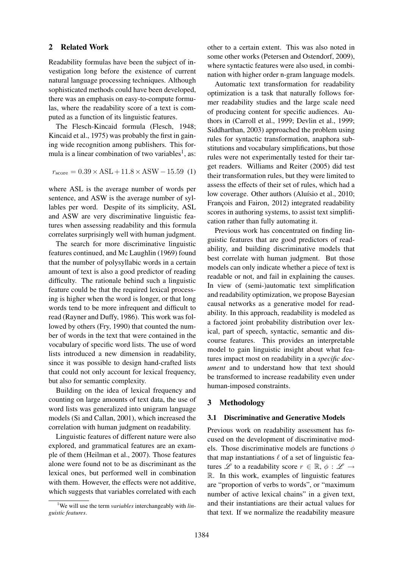#### 2 Related Work

Readability formulas have been the subject of investigation long before the existence of current natural language processing techniques. Although sophisticated methods could have been developed, there was an emphasis on easy-to-compute formulas, where the readability score of a text is computed as a function of its linguistic features.

The Flesch-Kincaid formula (Flesch, 1948; Kincaid et al., 1975) was probably the first in gaining wide recognition among publishers. This formula is a linear combination of two variables<sup>1</sup>, as:

$$
r_{\text{score}} = 0.39 \times \text{ASL} + 11.8 \times \text{ASW} - 15.59 \text{ (1)}
$$

where ASL is the average number of words per sentence, and ASW is the average number of syllables per word. Despite of its simplicity, ASL and ASW are very discriminative linguistic features when assessing readability and this formula correlates surprisingly well with human judgment.

The search for more discriminative linguistic features continued, and Mc Laughlin (1969) found that the number of polysyllabic words in a certain amount of text is also a good predictor of reading difficulty. The rationale behind such a linguistic feature could be that the required lexical processing is higher when the word is longer, or that long words tend to be more infrequent and difficult to read (Rayner and Duffy, 1986). This work was followed by others (Fry, 1990) that counted the number of words in the text that were contained in the vocabulary of specific word lists. The use of word lists introduced a new dimension in readability, since it was possible to design hand-crafted lists that could not only account for lexical frequency, but also for semantic complexity.

Building on the idea of lexical frequency and counting on large amounts of text data, the use of word lists was generalized into unigram language models (Si and Callan, 2001), which increased the correlation with human judgment on readability.

Linguistic features of different nature were also explored, and grammatical features are an example of them (Heilman et al., 2007). Those features alone were found not to be as discriminant as the lexical ones, but performed well in combination with them. However, the effects were not additive, which suggests that variables correlated with each other to a certain extent. This was also noted in some other works (Petersen and Ostendorf, 2009), where syntactic features were also used, in combination with higher order n-gram language models.

Automatic text transformation for readability optimization is a task that naturally follows former readability studies and the large scale need of producing content for specific audiences. Authors in (Carroll et al., 1999; Devlin et al., 1999; Siddharthan, 2003) approached the problem using rules for syntactic transformation, anaphora substitutions and vocabulary simplifications, but those rules were not experimentally tested for their target readers. Williams and Reiter (2005) did test their transformation rules, but they were limited to assess the effects of their set of rules, which had a low coverage. Other authors (Aluísio et al., 2010; François and Fairon, 2012) integrated readability scores in authoring systems, to assist text simplification rather than fully automating it.

Previous work has concentrated on finding linguistic features that are good predictors of readability, and building discriminative models that best correlate with human judgment. But those models can only indicate whether a piece of text is readable or not, and fail in explaining the causes. In view of (semi-)automatic text simplification and readability optimization, we propose Bayesian causal networks as a generative model for readability. In this approach, readability is modeled as a factored joint probability distribution over lexical, part of speech, syntactic, semantic and discourse features. This provides an interpretable model to gain linguistic insight about what features impact most on readability in a *specific document* and to understand how that text should be transformed to increase readability even under human-imposed constraints.

# 3 Methodology

### 3.1 Discriminative and Generative Models

Previous work on readability assessment has focused on the development of discriminative models. Those discriminative models are functions  $\phi$ that map instantiations  $\ell$  of a set of linguistic features L to a readability score  $r \in \mathbb{R}$ ,  $\phi : \mathcal{L} \to$ R. In this work, examples of linguistic features are "proportion of verbs to words", or "maximum number of active lexical chains" in a given text, and their instantiations are their actual values for that text. If we normalize the readability measure

<sup>&</sup>lt;sup>1</sup>We will use the term *variables* interchangeably with *linguistic features*.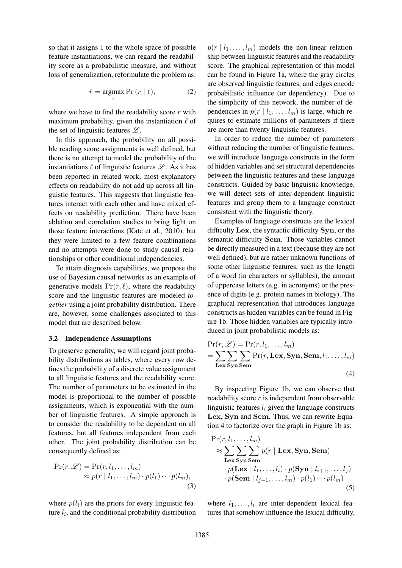so that it assigns 1 to the whole space of possible feature instantiations, we can regard the readability score as a probabilistic measure, and without loss of generalization, reformulate the problem as:

$$
\hat{r} = \underset{r}{\operatorname{argmax}} \Pr(r \mid \ell), \tag{2}
$$

where we have to find the readability score  $r$  with maximum probability, given the instantiation  $\ell$  of the set of linguistic features  $\mathscr{L}$ .

In this approach, the probability on all possible reading score assignments is well defined, but there is no attempt to model the probability of the instantiations  $\ell$  of linguistic features  $\mathscr{L}$ . As it has been reported in related work, most explanatory effects on readability do not add up across all linguistic features. This suggests that linguistic features interact with each other and have mixed effects on readability prediction. There have been ablation and correlation studies to bring light on those feature interactions (Kate et al., 2010), but they were limited to a few feature combinations and no attempts were done to study causal relationships or other conditional independencies.

To attain diagnosis capabilities, we propose the use of Bayesian causal networks as an example of generative models  $Pr(r, \ell)$ , where the readability score and the linguistic features are modeled *together* using a joint probability distribution. There are, however, some challenges associated to this model that are described below.

#### 3.2 Independence Assumptions

To preserve generality, we will regard joint probability distributions as tables, where every row defines the probability of a discrete value assignment to all linguistic features and the readability score. The number of parameters to be estimated in the model is proportional to the number of possible assignments, which is exponential with the number of linguistic features. A simple approach is to consider the readability to be dependent on all features, but all features independent from each other. The joint probability distribution can be consequently defined as:

$$
\Pr(r, \mathcal{L}) = \Pr(r, l_1, \dots, l_m) \n\approx p(r \mid l_1, \dots, l_m) \cdot p(l_1) \cdots p(l_m),
$$
\n(3)

where  $p(l_i)$  are the priors for every linguistic feature  $l_i$ , and the conditional probability distribution  $p(r | l_1, \ldots, l_m)$  models the non-linear relationship between linguistic features and the readability score. The graphical representation of this model can be found in Figure 1a, where the gray circles are observed linguistic features, and edges encode probabilistic influence (or dependency). Due to the simplicity of this network, the number of dependencies in  $p(r | l_1, \ldots, l_m)$  is large, which requires to estimate millions of parameters if there are more than twenty linguistic features.

In order to reduce the number of parameters without reducing the number of linguistic features, we will introduce language constructs in the form of hidden variables and set structural dependencies between the linguistic features and these language constructs. Guided by basic linguistic knowledge, we will detect sets of inter-dependent linguistic features and group them to a language construct consistent with the linguistic theory.

Examples of language constructs are the lexical difficulty Lex, the syntactic difficulty Syn, or the semantic difficulty Sem. Those variables cannot be directly measured in a text (because they are not well defined), but are rather unknown functions of some other linguistic features, such as the length of a word (in characters or syllables), the amount of uppercase letters (e.g. in acronyms) or the presence of digits (e.g. protein names in biology). The graphical representation that introduces language constructs as hidden variables can be found in Figure 1b. Those hidden variables are typically introduced in joint probabilistic models as:

$$
Pr(r, \mathcal{L}) = Pr(r, l_1, ..., l_m)
$$
  
= 
$$
\sum_{\text{Lex } \text{Syn Sem}} \sum_{\text{Sem}} Pr(r, \text{Lex, Syn, Sem}, l_1, ..., l_m)
$$
  
(4)

By inspecting Figure 1b, we can observe that readability score  $r$  is independent from observable linguistic features  $l_i$  given the language constructs Lex, Syn and Sem. Thus, we can rewrite Equation 4 to factorize over the graph in Figure 1b as:

$$
\Pr(r, l_1, \ldots, l_m)
$$
\n
$$
\approx \sum_{\text{Lex } \text{Syn Sem}} \sum_{\text{Sem}} p(r \mid \text{Lex}, \text{Syn}, \text{Sem})
$$
\n
$$
\cdot p(\text{Lex } | l_1, \ldots, l_i) \cdot p(\text{Syn } | l_{i+1}, \ldots, l_j)
$$
\n
$$
\cdot p(\text{Sem } | l_{j+1}, \ldots, l_m) \cdot p(l_1) \cdots p(l_m)
$$
\n(5)

where  $l_1, \ldots, l_i$  are inter-dependent lexical features that somehow influence the lexical difficulty,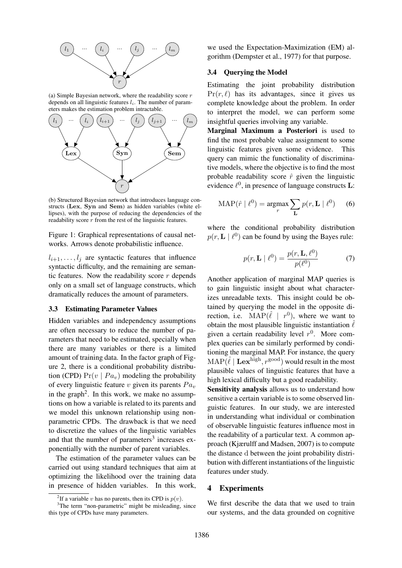

(a) Simple Bayesian network, where the readability score  $r$ depends on all linguistic features  $l_i$ . The number of parameters makes the estimation problem intractable.



(b) Structured Bayesian network that introduces language constructs (Lex, Syn and Sem) as hidden variables (white ellipses), with the purpose of reducing the dependencies of the readability score  $\overline{r}$  from the rest of the linguistic features.

Figure 1: Graphical representations of causal networks. Arrows denote probabilistic influence.

 $l_{i+1}, \ldots, l_j$  are syntactic features that influence syntactic difficulty, and the remaining are semantic features. Now the readability score  $r$  depends only on a small set of language constructs, which dramatically reduces the amount of parameters.

### 3.3 Estimating Parameter Values

Hidden variables and independency assumptions are often necessary to reduce the number of parameters that need to be estimated, specially when there are many variables or there is a limited amount of training data. In the factor graph of Figure 2, there is a conditional probability distribution (CPD)  $Pr(v \mid Pa_v)$  modeling the probability of every linguistic feature v given its parents  $Pa_v$ in the graph<sup>2</sup>. In this work, we make no assumptions on how a variable is related to its parents and we model this unknown relationship using nonparametric CPDs. The drawback is that we need to discretize the values of the linguistic variables and that the number of parameters<sup>3</sup> increases exponentially with the number of parent variables.

The estimation of the parameter values can be carried out using standard techniques that aim at optimizing the likelihood over the training data in presence of hidden variables. In this work, we used the Expectation-Maximization (EM) algorithm (Dempster et al., 1977) for that purpose.

#### 3.4 Querying the Model

Estimating the joint probability distribution  $Pr(r, \ell)$  has its advantages, since it gives us complete knowledge about the problem. In order to interpret the model, we can perform some insightful queries involving any variable.

Marginal Maximum a Posteriori is used to find the most probable value assignment to some linguistic features given some evidence. This query can mimic the functionality of discriminative models, where the objective is to find the most probable readability score  $\hat{r}$  given the linguistic evidence  $\ell^0$ , in presence of language constructs **L**:

$$
MAP(\hat{r} \mid \ell^0) = \underset{r}{\operatorname{argmax}} \sum_{\mathbf{L}} p(r, \mathbf{L} \mid \ell^0) \qquad (6)
$$

where the conditional probability distribution  $p(r, L \mid \ell^0)$  can be found by using the Bayes rule:

$$
p(r, \mathbf{L} \mid \ell^0) = \frac{p(r, \mathbf{L}, \ell^0)}{p(\ell^0)} \tag{7}
$$

Another application of marginal MAP queries is to gain linguistic insight about what characterizes unreadable texts. This insight could be obtained by querying the model in the opposite direction, i.e.  $\text{MAP}(\hat{\ell} \mid r^0)$ , where we want to obtain the most plausible linguistic instantiation  $\hat{\ell}$ given a certain readability level  $r^0$ . More complex queries can be similarly performed by conditioning the marginal MAP. For instance, the query  $MAP(\hat{\ell} | \mathbf{Lex}^{\text{high}}, r^{\text{good}})$  would result in the most plausible values of linguistic features that have a high lexical difficulty but a good readability.

Sensitivity analysis allows us to understand how sensitive a certain variable is to some observed linguistic features. In our study, we are interested in understanding what individual or combination of observable linguistic features influence most in the readability of a particular text. A common approach (Kjærulff and Madsen, 2007) is to compute the distance d between the joint probability distribution with different instantiations of the linguistic features under study.

#### 4 Experiments

We first describe the data that we used to train our systems, and the data grounded on cognitive

<sup>&</sup>lt;sup>2</sup>If a variable v has no parents, then its CPD is  $p(v)$ .

<sup>&</sup>lt;sup>3</sup>The term "non-parametric" might be misleading, since this type of CPDs have many parameters.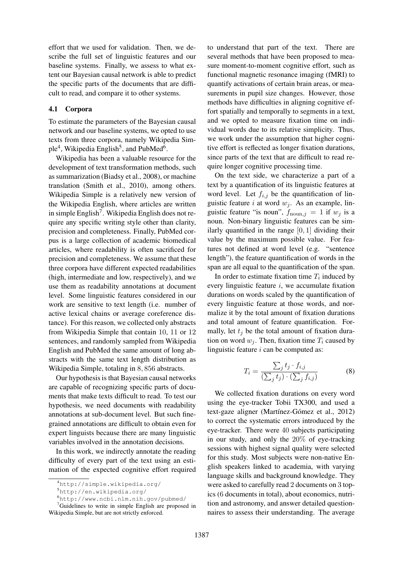effort that we used for validation. Then, we describe the full set of linguistic features and our baseline systems. Finally, we assess to what extent our Bayesian causal network is able to predict the specific parts of the documents that are difficult to read, and compare it to other systems.

## 4.1 Corpora

To estimate the parameters of the Bayesian causal network and our baseline systems, we opted to use texts from three corpora, namely Wikipedia Simple<sup>4</sup>, Wikipedia English<sup>5</sup>, and PubMed<sup>6</sup>.

Wikipedia has been a valuable resource for the development of text transformation methods, such as summarization (Biadsy et al., 2008), or machine translation (Smith et al., 2010), among others. Wikipedia Simple is a relatively new version of the Wikipedia English, where articles are written in simple English<sup>7</sup>. Wikipedia English does not require any specific writing style other than clarity, precision and completeness. Finally, PubMed corpus is a large collection of academic biomedical articles, where readability is often sacrificed for precision and completeness. We assume that these three corpora have different expected readabilities (high, intermediate and low, respectively), and we use them as readability annotations at document level. Some linguistic features considered in our work are sensitive to text length (i.e. number of active lexical chains or average coreference distance). For this reason, we collected only abstracts from Wikipedia Simple that contain 10, 11 or 12 sentences, and randomly sampled from Wikipedia English and PubMed the same amount of long abstracts with the same text length distribution as Wikipedia Simple, totaling in 8, 856 abstracts.

Our hypothesis is that Bayesian causal networks are capable of recognizing specific parts of documents that make texts difficult to read. To test our hypothesis, we need documents with readability annotations at sub-document level. But such finegrained annotations are difficult to obtain even for expert linguists because there are many linguistic variables involved in the annotation decisions.

In this work, we indirectly annotate the reading difficulty of every part of the text using an estimation of the expected cognitive effort required

<sup>7</sup>Guidelines to write in simple English are proposed in Wikipedia Simple, but are not strictly enforced.

to understand that part of the text. There are several methods that have been proposed to measure moment-to-moment cognitive effort, such as functional magnetic resonance imaging (fMRI) to quantify activations of certain brain areas, or measurements in pupil size changes. However, those methods have difficulties in aligning cognitive effort spatially and temporally to segments in a text, and we opted to measure fixation time on individual words due to its relative simplicity. Thus, we work under the assumption that higher cognitive effort is reflected as longer fixation durations, since parts of the text that are difficult to read require longer cognitive processing time.

On the text side, we characterize a part of a text by a quantification of its linguistic features at word level. Let  $f_{i,j}$  be the quantification of linguistic feature i at word  $w_i$ . As an example, linguistic feature "is noun",  $f_{\text{noun},j} = 1$  if  $w_j$  is a noun. Non-binary linguistic features can be similarly quantified in the range  $[0, 1]$  dividing their value by the maximum possible value. For features not defined at word level (e.g. "sentence length"), the feature quantification of words in the span are all equal to the quantification of the span.

In order to estimate fixation time  $T_i$  induced by every linguistic feature  $i$ , we accumulate fixation durations on words scaled by the quantification of every linguistic feature at those words, and normalize it by the total amount of fixation durations and total amount of feature quantification. Formally, let  $t_j$  be the total amount of fixation duration on word  $w_j$ . Then, fixation time  $T_i$  caused by linguistic feature  $i$  can be computed as:

$$
T_i = \frac{\sum_j t_j \cdot f_{i,j}}{(\sum_j t_j) \cdot (\sum_j f_{i,j})}
$$
(8)

We collected fixation durations on every word using the eye-tracker Tobii TX300, and used a text-gaze aligner (Martínez-Gómez et al., 2012) to correct the systematic errors introduced by the eye-tracker. There were 40 subjects participating in our study, and only the 20% of eye-tracking sessions with highest signal quality were selected for this study. Most subjects were non-native English speakers linked to academia, with varying language skills and background knowledge. They were asked to carefully read 2 documents on 3 topics (6 documents in total), about economics, nutrition and astronomy, and answer detailed questionnaires to assess their understanding. The average

<sup>4</sup>http://simple.wikipedia.org/

<sup>5</sup>http://en.wikipedia.org/

<sup>6</sup>http://www.ncbi.nlm.nih.gov/pubmed/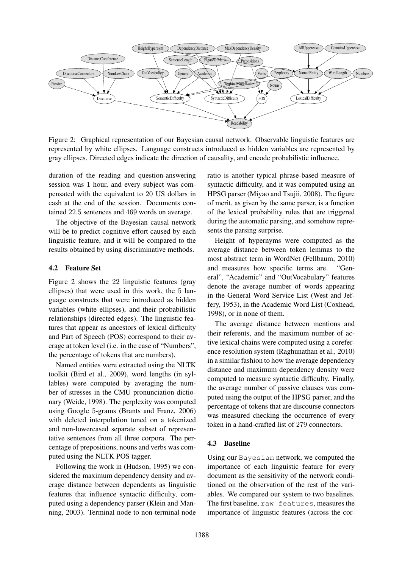

Figure 2: Graphical representation of our Bayesian causal network. Observable linguistic features are represented by white ellipses. Language constructs introduced as hidden variables are represented by gray ellipses. Directed edges indicate the direction of causality, and encode probabilistic influence.

duration of the reading and question-answering session was 1 hour, and every subject was compensated with the equivalent to 20 US dollars in cash at the end of the session. Documents contained 22.5 sentences and 469 words on average.

The objective of the Bayesian causal network will be to predict cognitive effort caused by each linguistic feature, and it will be compared to the results obtained by using discriminative methods.

#### 4.2 Feature Set

Figure 2 shows the 22 linguistic features (gray ellipses) that were used in this work, the 5 language constructs that were introduced as hidden variables (white ellipses), and their probabilistic relationships (directed edges). The linguistic features that appear as ancestors of lexical difficulty and Part of Speech (POS) correspond to their average at token level (i.e. in the case of "Numbers", the percentage of tokens that are numbers).

Named entities were extracted using the NLTK toolkit (Bird et al., 2009), word lengths (in syllables) were computed by averaging the number of stresses in the CMU pronunciation dictionary (Weide, 1998). The perplexity was computed using Google 5-grams (Brants and Franz, 2006) with deleted interpolation tuned on a tokenized and non-lowercased separate subset of representative sentences from all three corpora. The percentage of prepositions, nouns and verbs was computed using the NLTK POS tagger.

Following the work in (Hudson, 1995) we considered the maximum dependency density and average distance between dependents as linguistic features that influence syntactic difficulty, computed using a dependency parser (Klein and Manning, 2003). Terminal node to non-terminal node ratio is another typical phrase-based measure of syntactic difficulty, and it was computed using an HPSG parser (Miyao and Tsujii, 2008). The figure of merit, as given by the same parser, is a function of the lexical probability rules that are triggered during the automatic parsing, and somehow represents the parsing surprise.

Height of hypernyms were computed as the average distance between token lemmas to the most abstract term in WordNet (Fellbaum, 2010) and measures how specific terms are. "General", "Academic" and "OutVocabulary" features denote the average number of words appearing in the General Word Service List (West and Jeffery, 1953), in the Academic Word List (Coxhead, 1998), or in none of them.

The average distance between mentions and their referents, and the maximum number of active lexical chains were computed using a coreference resolution system (Raghunathan et al., 2010) in a similar fashion to how the average dependency distance and maximum dependency density were computed to measure syntactic difficulty. Finally, the average number of passive clauses was computed using the output of the HPSG parser, and the percentage of tokens that are discourse connectors was measured checking the occurrence of every token in a hand-crafted list of 279 connectors.

# 4.3 Baseline

Using our Bayesian network, we computed the importance of each linguistic feature for every document as the sensitivity of the network conditioned on the observation of the rest of the variables. We compared our system to two baselines. The first baseline, raw features, measures the importance of linguistic features (across the cor-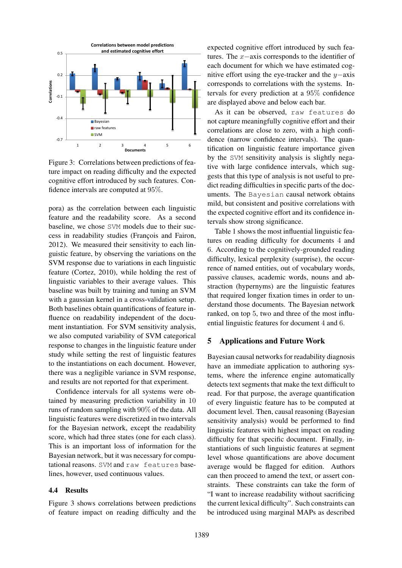

Figure 3: Correlations between predictions of feature impact on reading difficulty and the expected cognitive effort introduced by such features. Confidence intervals are computed at 95%.

pora) as the correlation between each linguistic feature and the readability score. As a second baseline, we chose SVM models due to their success in readability studies (François and Fairon, 2012). We measured their sensitivity to each linguistic feature, by observing the variations on the SVM response due to variations in each linguistic feature (Cortez, 2010), while holding the rest of linguistic variables to their average values. This baseline was built by training and tuning an SVM with a gaussian kernel in a cross-validation setup. Both baselines obtain quantifications of feature influence on readability independent of the document instantiation. For SVM sensitivity analysis, we also computed variability of SVM categorical response to changes in the linguistic feature under study while setting the rest of linguistic features to the instantiations on each document. However, there was a negligible variance in SVM response, and results are not reported for that experiment.

Confidence intervals for all systems were obtained by measuring prediction variability in 10 runs of random sampling with 90% of the data. All linguistic features were discretized in two intervals for the Bayesian network, except the readability score, which had three states (one for each class). This is an important loss of information for the Bayesian network, but it was necessary for computational reasons. SVM and raw features baselines, however, used continuous values.

#### 4.4 Results

Figure 3 shows correlations between predictions of feature impact on reading difficulty and the

expected cognitive effort introduced by such features. The x−axis corresponds to the identifier of each document for which we have estimated cognitive effort using the eye-tracker and the y−axis corresponds to correlations with the systems. Intervals for every prediction at a 95% confidence are displayed above and below each bar.

As it can be observed, raw features do not capture meaningfully cognitive effort and their correlations are close to zero, with a high confidence (narrow confidence intervals). The quantification on linguistic feature importance given by the SVM sensitivity analysis is slightly negative with large confidence intervals, which suggests that this type of analysis is not useful to predict reading difficulties in specific parts of the documents. The Bayesian causal network obtains mild, but consistent and positive correlations with the expected cognitive effort and its confidence intervals show strong significance.

Table 1 shows the most influential linguistic features on reading difficulty for documents 4 and 6. According to the cognitively-grounded reading difficulty, lexical perplexity (surprise), the occurrence of named entities, out of vocabulary words, passive clauses, academic words, nouns and abstraction (hypernyms) are the linguistic features that required longer fixation times in order to understand those documents. The Bayesian network ranked, on top 5, two and three of the most influential linguistic features for document 4 and 6.

## 5 Applications and Future Work

Bayesian causal networks for readability diagnosis have an immediate application to authoring systems, where the inference engine automatically detects text segments that make the text difficult to read. For that purpose, the average quantification of every linguistic feature has to be computed at document level. Then, causal reasoning (Bayesian sensitivity analysis) would be performed to find linguistic features with highest impact on reading difficulty for that specific document. Finally, instantiations of such linguistic features at segment level whose quantifications are above document average would be flagged for edition. Authors can then proceed to amend the text, or assert constraints. These constraints can take the form of "I want to increase readability without sacrificing the current lexical difficulty". Such constraints can be introduced using marginal MAPs as described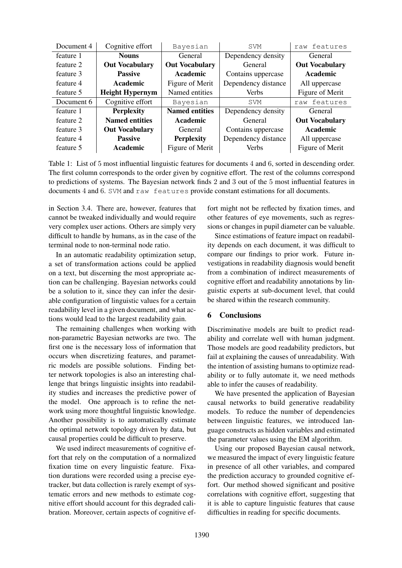| Document 4 | Cognitive effort       | Bayesian              | <b>SVM</b>          | features<br>raw       |
|------------|------------------------|-----------------------|---------------------|-----------------------|
| feature 1  | <b>Nouns</b>           | General               | Dependency density  | General               |
| feature 2  | <b>Out Vocabulary</b>  | <b>Out Vocabulary</b> | General             | <b>Out Vocabulary</b> |
| feature 3  | <b>Passive</b>         | Academic              | Contains uppercase  | Academic              |
| feature 4  | Academic               | Figure of Merit       | Dependency distance | All uppercase         |
| feature 5  | <b>Height Hypernym</b> | Named entities        | <b>Verbs</b>        | Figure of Merit       |
| Document 6 | Cognitive effort       | Bayesian              | <b>SVM</b>          | features<br>raw       |
| feature 1  | <b>Perplexity</b>      | <b>Named entities</b> | Dependency density  | General               |
| feature 2  | <b>Named entities</b>  | Academic              | General             | <b>Out Vocabulary</b> |
| feature 3  | <b>Out Vocabulary</b>  | General               | Contains uppercase  | <b>Academic</b>       |
| feature 4  | <b>Passive</b>         | <b>Perplexity</b>     | Dependency distance | All uppercase         |
| feature 5  | Academic               | Figure of Merit       | <b>Verbs</b>        | Figure of Merit       |

Table 1: List of 5 most influential linguistic features for documents 4 and 6, sorted in descending order. The first column corresponds to the order given by cognitive effort. The rest of the columns correspond to predictions of systems. The Bayesian network finds 2 and 3 out of the 5 most influential features in documents 4 and 6. SVM and raw features provide constant estimations for all documents.

in Section 3.4. There are, however, features that cannot be tweaked individually and would require very complex user actions. Others are simply very difficult to handle by humans, as in the case of the terminal node to non-terminal node ratio.

In an automatic readability optimization setup, a set of transformation actions could be applied on a text, but discerning the most appropriate action can be challenging. Bayesian networks could be a solution to it, since they can infer the desirable configuration of linguistic values for a certain readability level in a given document, and what actions would lead to the largest readability gain.

The remaining challenges when working with non-parametric Bayesian networks are two. The first one is the necessary loss of information that occurs when discretizing features, and parametric models are possible solutions. Finding better network topologies is also an interesting challenge that brings linguistic insights into readability studies and increases the predictive power of the model. One approach is to refine the network using more thoughtful linguistic knowledge. Another possibility is to automatically estimate the optimal network topology driven by data, but causal properties could be difficult to preserve.

We used indirect measurements of cognitive effort that rely on the computation of a normalized fixation time on every linguistic feature. Fixation durations were recorded using a precise eyetracker, but data collection is rarely exempt of systematic errors and new methods to estimate cognitive effort should account for this degraded calibration. Moreover, certain aspects of cognitive ef-

fort might not be reflected by fixation times, and other features of eye movements, such as regressions or changes in pupil diameter can be valuable.

Since estimations of feature impact on readability depends on each document, it was difficult to compare our findings to prior work. Future investigations in readability diagnosis would benefit from a combination of indirect measurements of cognitive effort and readability annotations by linguistic experts at sub-document level, that could be shared within the research community.

# 6 Conclusions

Discriminative models are built to predict readability and correlate well with human judgment. Those models are good readability predictors, but fail at explaining the causes of unreadability. With the intention of assisting humans to optimize readability or to fully automate it, we need methods able to infer the causes of readability.

We have presented the application of Bayesian causal networks to build generative readability models. To reduce the number of dependencies between linguistic features, we introduced language constructs as hidden variables and estimated the parameter values using the EM algorithm.

Using our proposed Bayesian causal network, we measured the impact of every linguistic feature in presence of all other variables, and compared the prediction accuracy to grounded cognitive effort. Our method showed significant and positive correlations with cognitive effort, suggesting that it is able to capture linguistic features that cause difficulties in reading for specific documents.